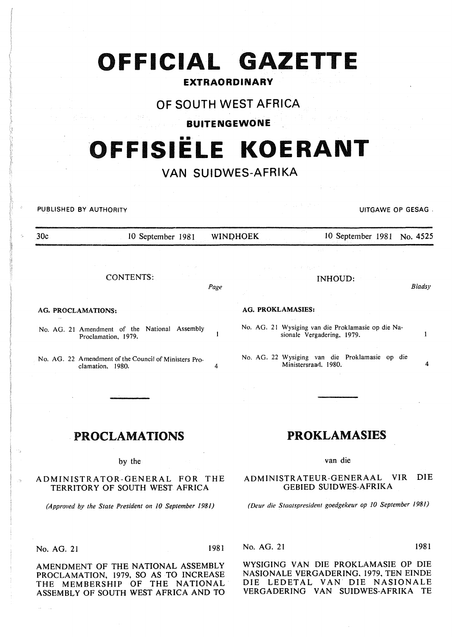# **OFFICIAL GAZETTE**

# **EXTRAORDINARY**

# **OF SOUTH WEST AFRICA**

# **BUITENGEWONE**

# •• **'OFFISIELE KOERANT**

# **VAN SUIDWES-AFRIKA**

PUBLISHED BY AUTHORITY UITGAWE OP GESAG .

30c 10 September 1981 WINQHOEK 10 September 1981 No. 4525 CONTENTS: *Page*  INHOUD: *Bladsy* 

AG. PROCLAMATIONS:

No. AG. 21 Amendment of the National Assembly  $\mathbf{1}$ Proclamation, 1979.

No. AG. 22 Amendment of the Council of Ministers Proclamation, 1980.

#### AG. PROKLAMASIES:

No. AG. 21 Wysiging van die Proklamasie op die Nasionale Vergadering. 1979.

No. AG. 22 Wysiging van die Proklamasie op die Ministersraad. 1980. 4

# PROCLAMATIONS

by the

ADMINISTRATOR-GENERAL FOR THE TERRITORY OF SOUTH WEST AFRICA

*{Approved by the State President on 10 September 1981)* 

### No. AG. 21 1981

AMENDMENT OF THE NATIONAL ASSEMBLY PROCLAMATION, 1979, SO AS TO INCREASE THE MEMBERSHIP OF THE NATIONAL ASSEMBLY OF SOUTH WEST AFRICA AND TO

# PROKLAMASIES

van die

ADMINISTRATEUR-GENERAAL VIR DIE GEBIED SUIDWES-AFRIKA

*(Deur die Staatspresident goedgekeur op 10 September 1981)* 

No. AG. 21 1981

 $\mathbf{1}$ 

WYSIGING VAN DIE PROKLAMASIE OP DIE NASIONALE VERGADERING. 1979, TEN EINDE DIE LEDETAL VAN DIE NASIONALE VERGADERING VAN SUIDWES-AFRIKA TE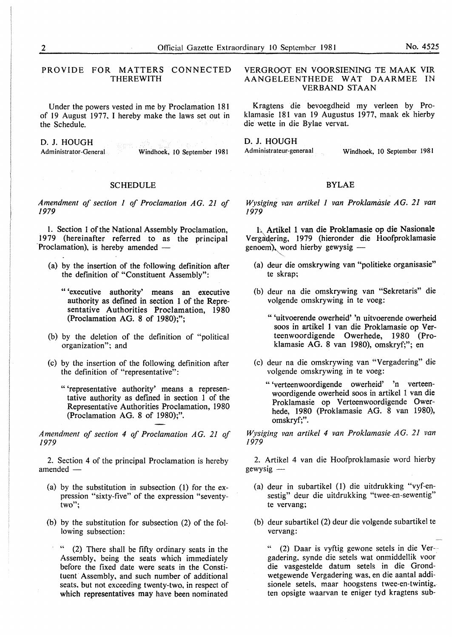PROVIDE FOR MATTERS CONNECTED THEREWITH

Under the powers vested in me by Proclamation 181 of 19 August 1977, I hereby make the laws set out in the Schedule.

D. J. HOUGH

Administrator-General Windhoek, 10 September 1981

#### SCHEDULE

*Amendment of section 1 of Proclamation AG. 21 of 1979* 

1. Section 1 of the National Assembly Proclamation. 1979 (hereinafter referred to as the principal Proclamation), is hereby amended  $-$ 

- (a) by the insertion of the following definition after the definition of "Constituent Assembly":
	- " 'executive authority' means an executive authority as defined in section 1 of the Representative Authorities Proclamation, 1980 (Proclamation AG. 8 of 1980);";
- (b) by the deletion of the definition of "political organization"; and
- (c) by the insertion of the following definition after the definition of "representative":
	- " 'representative authority' means a representative authority as defined in section 1 of the Representative Authorities Proclamation, 1980 (Proclamation AG. 8 of 1980);".

*Amendment of section 4 of Proclamation AG. 21 of 1979* 

2. Section 4 of the principal Proclamation is hereby amended -

- (a) by the substitution in subsection (1) for the expression "sixty-five" of the expression "seventytwo";
- (b) by the substitution for subsection (2) of the following subsection:
	- (2) There shall be fifty ordinary seats in the Assembly, being the seats which immediately before the fixed date were seats in the Constituent Assembly, and such number of additional seats. but not exceeding twenty-two, in respect of which representatives may have been nominated

VERGROOT EN VOORSIENING TE MAAK VIR AANGELEENTHEDE W AT DAARMEE IN **VERBAND STAAN** 

Kragtens die bevoegdheid my verleen by Proklamasie 181 van 19 Augustus 1977, maak ek hierby die wette in die Bylae vervat.

D. J. HOUGH

医尿病

Administrateur-generaal Windhoek, 10 September 1981

### BYLAE

*Wysiging van artikel 1 van Proklamasie AG. 21 van 1979* 

h Artikel 1 van die Proklamasie op die Nasionale Vergadering, 1979 (hieronder die Hoofproklamasie genoem), word hierby gewysig  $-$ 

- (a) deur die omskrywing van "politieke organisasie" te skrap;
- (b) deur na die omskrywing van "Sekretaris" die volgende omskrywing in te voeg:
	- " 'uitvoerende owerheid' 'n uitvoerende owerheid soos in artikel 1 van die Proklamasie op Verteenwoordigende Owerhede, 1980 (Proklamasie AG. 8 van 1980), omskryf;"; en
- (c) deur na die omskrywing van "Vergadering" die volgende omskrywing in te voeg:
	- " 'verteenwoordigende owerheid' 'n verteenwoordigende owerheid soos in artikel 1 van die Proklamasie op Verteenwoordigende Owerhede, 1980 (Proklamasie AG. 8 van 1980), omskryf;".

*Wysiging van artikel 4 van Proklamasie AG. 21 van 1979* 

2. Artikel 4 van die Hoofproklamasie word hierby gewysig-

- (a) deur in subartikel (1) die uitdrukking "vyf-ensestig" deur die uitdrukking "twee-en-sewentig" te vervang;
- (b) deur subartikel (2) deur die volgende subartikel te vervang:

(2) Daar is vyftig gewone setels in die Ver-gadering. synde die setels wat onmiddellik voor die vasgestelde datum setels in die Grondwetgewende Vergadering was. en die aantal addisionele setels. maar hoogstens twee-en-twintig, ten opsigte waarvan te eniger tyd kragtens sub-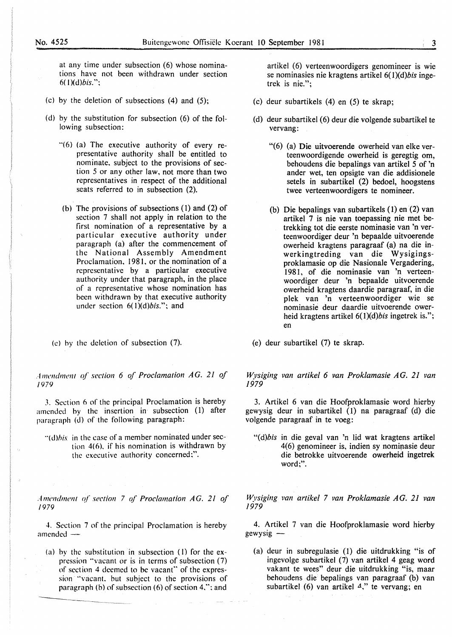at any time under subsection (6) whose nominations have not been withdrawn under section  $6(1)(d)$ *bis.*";

- (c) by the deletion of subsections (4) and (5);
- (d) by the substitution for subsection (6) of the following subsection:
	- "(6) (a) The executive authority of every representative authority shall be entitled to nominate, subject to the provisions of section *5* or any other law, not more than two representatives in respect of the additional seats referred to in subsection (2).
	- (b) The provisions of subsections (I) and (2) of section 7 shall not apply in relation to the first nomination of a representative by a particular executive authority under paragraph (a) after the commencement of the National Assembly Amendment Proclamation, 1981, or the nomination of a representative by a particular executive authority under that paragraph, in the place of a representative whose nomination has been withdrawn by that executive authority under section  $6(1)(d)$ bis."; and

(e) hy the deletion of subsection (7).

*Amendment of section 6 of Proclamation AG. 21 of /979* 

*3.* Section 6 of the principal Proclamation is hereby amended hy the insertion in subsection (I) after paragraph (d) of the following paragraph:

"(d)*his* in the case of a member nominated under section 4(6). if his nomination is withdrawn by the executive authority concerned;".

. f *mendmcnt (?l section* 7 *q( Proclamation A G. 21 of /979* 

4. Section 7 of the principal Proclamation is hereby amended $-$ 

(a) hy the substitution in subsection (I) for the expression "vacant or is in terms of subsection {7) of section 4 deemed to be vacant" of the expression "vacant. but subject to the provisions of paragraph (b) of subsection (6) of section 4.": and

artikel (6) verteenwoordigers genomineer is wie se nominasies nie kragtens artikel  $6(1)(d)$ bis ingetrek is nie.";

- (c) deur subartikels (4) en (5) te skrap;
- (d) deur subartikel (6) deur die volgende subartikel te vervang:
	- "(6) (a) Die uitvoerende owerheid van elke verteenwoordigende owerheid is geregtig om, behoudens die bepalings van artikel *5* of 'n ander wet, ten opsigte van die addisionele setels in subartikel (2) bedoel, hoogstens twee verteenwoordigers te nomineer.
	- (b) Die bepalings van subartikels ( 1) en· (2) van artikel 7 is nie van toepassing nie met betrekking tot die eerste nominasie van 'n verteenwoordiger deur 'n bepaalde uitvoerende owerheid kragtens paragraaf (a) na die inwerkingtreding van die Wysigingsproklamasie op die Nasionale Vergadering, 1981, of die nominasie van 'n verteenwoordiger deur 'n bepaalde uitvoerende owerheid kragtens daardie paragraaf, in die plek van 'n verteenwoordiger wie se nominasie deur daardie uitvoerende owerheid kragtens artikel  $6(1)(d)$ *bis* ingetrek is."; en
- (e) deur subartikel (7) te skrap.

*Wysiging van artikel* 6 *van Proklamasie* AG. *21 van 1979* 

3. Artikel 6 van die Hoofproklamasie word hierby gewysig deur in subartikel (1) na paragraaf (d) die volgende paragraaf in te voeg:

*"(d)bis* in die geval van 'n lid wat kragtens artikel 4( 6) genomineer is, indien sy nomipasie deur die betrokke uitvoerende owerheid ingetrek word;".

*Wysiging van artikel* 7 *van Proklamasie* AG. *21 van 1979* 

4. Artikel 7 van die Hoofproklamasie word hierby gewysig-

(a) deur in subregulasie (1) die uitdrukking "is of ingevolge subartikel (7) van artikel 4 geag word vakant te wees" deur die uitdrukking "is, maar behoudens die bepalings van paragraaf (b) van subartikel (6) van artikel  $4$ ," te vervang; en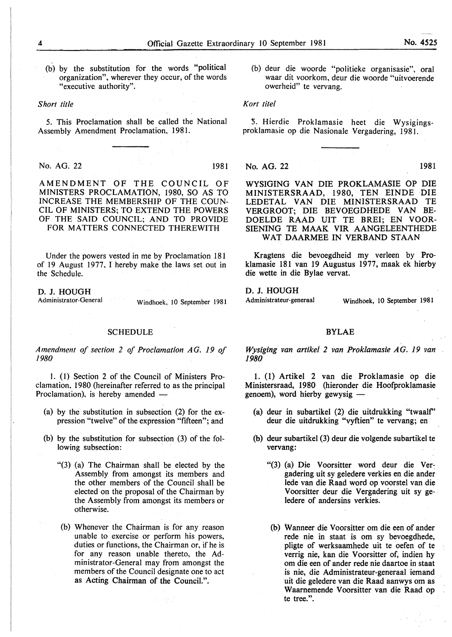(b) by the substitution for the words "political organization", wherever they occur, of the words "executive authority".

#### *Short title*

5. This Proclamation shall be called the National Assembly Amendment Proclamation, 1981.

No. AG. 22 1981

AMENDMENT OF THE COUNCIL OF MINISTERS PROCLAMATION, 1980, SO AS TO INCREASE THE MEMBERSHIP OF THE COUN-CIL OF MINISTERS; TO EXTEND THE POWERS OF THE SAID COUNCIL; AND TO PROVIDE FOR MATTERS CONNECTED THEREWITH

Under the powers vested in me by Proclamation 181 of 19 August 1977. I hereby make the laws set out in the Schedule.

D. J. HOUGH<br>Administrator-General

Windhoek, 10 September 1981

## **SCHEDULE**

*Amendment of section 2 of Proclamation AG. 19 of*  1980

I. ( 1) Section 2 of the Council of Ministers Proclamation, 1980 (hereinafter referred to as the principal Proclamation), is hereby amended ---

- (a) by the substitution in subsection (2) for the expression "twelve" of the expression "fifteen"; and
- (b) by the substitution for subsection (3) of the following subsection:
	- "(3) (a) The Chairman shall be elected by the Assembly from amongst its members and the other members of the Council shall be elected on the proposal of the Chairman by the Assembly from amongst its members or otherwise.
	- (b) Whenever the Chairman is for any reason unable to exercise or perform his powers, duties or functions, the Chairman or, if he is for any reason unable thereto, the Administrator-General may from amongst the members of the Council designate one to act as Acting Chairman of the Council.".

(b) deur die woorde "politieke organisasie", oral waar dit voorkom, deur die woorde "uitvoerende owerheid" te vervang.

#### *Kort tile!*

*5.* Hierdie Proklamasie heet die Wysigingsproklamasie op die Nasionale Vergadering, 1981.

No. AG. 22 1981

WYSIGING VAN DIE PROKLAMASIE OP DIE MINISTERSRAAD, 1980, TEN EINDE DIE LEDETAL VAN DIE MINISTERSRAAD TE VERGROOT; DIE BEVOEGDHEDE VAN BE-DOELDE RAAD UIT TE BREI; EN VOOR-SIENING TE MAAK VIR AANGELEENTHEDE WAT DAARMEE IN VERBANO STAAN

Kragtens die bevoegdheid my verleen by Proklamasie 181 van 19 Augustus 1977, maak ek hierby die wette in die Bylae vervat.

D. J. HOUGH<br>Administrateur-generaal

Windhoek, 10 September 1981

### BYLAE

*Wysiging van artikel 2 van Proklamasie A G. 19 van*  1980

1. (1) Artikel 2 van die Proklamasie op die Ministersraad, 1980 (hieronder die Hoofproklamasie  $genoem$ ), word hierby gewysig  $-$ 

- (a) deur in subartikel (2) die uitdrukking "twaalf' deur die uitdrukking "vyftien'' te vervang; en
- (b) deur subartikel (3) deur die volgende subartikel te vervang:
	- "(3) (a) Die Voorsitter word deur die Ver~ gadering uit sy geledere verkies en die ander lede van die Raad word op voorstel van die V oorsitter deur die Vergadering uit sy geledere of andersins verkies.
	- (b) Wanneer die Voorsitter om die een of ander rede nie in staat is om sy bevoegdhede, pligte of werksaamhede uit te oefen of te verrig nie, kan die Voorsitter of, indien hy om die een of ander rede nie daartoe in staat is nie, die Administrateur-generaal iemand uit die geledere van die Raad aanwys om as Waarnemende V oorsitter van die Raad op te tree.".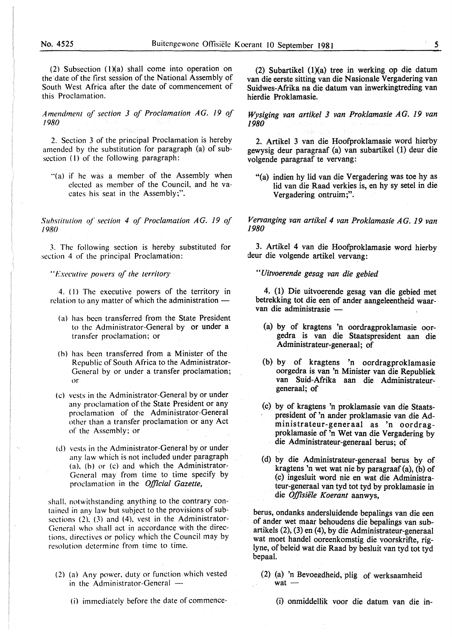(2) Subsection  $(1)(a)$  shall come into operation on the date of the first session of the National Assembly of South West Africa after the date of commencement of this Proclamation.

*Amendment of section 3 of Proclamation AG. 19 of*  /980

2. Section 3 of the principal Proclamation is hereby amended by the substitution for paragraph (a) of subsection (1) of the following paragraph:

"(a) if he was a member of the Assembly when elected as member of the Council, and he vacates his seat in the Assembly;".

*Suhstitution of section 4 of Proclamation AG. 19 of*  /980

3. The following section is hereby substituted for section 4 of the principal Proclamation:

*"l:'xecutit•e powers of the territory* 

4. ( I) The executive powers of the territory in relation to any matter of which the administration  $-$ 

- (a) has been transferred from the State President to the Administrator-General by or under a transfer proclamation; or
- (b) has been transferred from a Minister of the Republic of South Africa to the Administrator-General by or under a transfer proclamation; or
- (c) vests in the Administrator-General by or under any proclamation of the State President or any proclamation of the Administrator-General other than a transfer proclamation or any Act of the Assembly: or
- (d) vests in the Administrator-General by or under any law which is not included under paragraph (a). (b) or (c) and which the Administrator-General may from time to time specify by proclamation in the *Official Gazette,*

shall. notwithstanding anything to the contrary contained in any law but subject to the provisions of subsections (2). (3) and (4). vest in the Administrator-General who shall act in accordance with the directions. directives or policy which the Council may by resolution determine from time to time.

- (2) (a) Any power. duty or function which vested in the Administrator-General  $-$ 
	- ( i) immediately before the date of commence-

(2) Subartikel  $(1)(a)$  tree in werking op die datum van die eerste sitting van die Nasionale Vergadering van Suidwes-Afrika na die datum van inwerkingtreding van hierdie Proklamasie.

*Wysiging van artikel 3 van Proklamasie* AG. *19 van 1980* 

2. Artikel 3 van die Hoofproklamasie word hierby gewysig deur paragraaf (a) van subartikel (1) deur die volgende paragraaf te vervang:

"(a) indien hy lid van die Vergadering was toe hy as lid van die Raad verkies is, en hy sy setel in die Vergadering ontruim;".

*Vervanging van artikel 4 van Proklamasie* AG. *19 van 1980* 

3. Artikel 4 van die Hoofproklamasie word hierby deur die volgende artikel vervang:

*"Uitvoerende gesag van die gebied* 

4. (1) Die uitvoerende gesag van die gebied met betrekking tot die een of ander aangeleentheid waarvan die administrasie -

- (a) by of kragtens 'n oordragproklamasie oorgedra is van die Staatspresident aan die Administrateur-generaal; of
- (b) by of kragtens 'n oordragproklamasie oorgedra is van 'n Minister van die Republiek van Suid-Mrika aan die Administrateurgeneraal; of
- (c) by of kragtens 'n proklamasie van die Staatspresident of 'n ander proklamasie van die Administrateur-generaal as 'n oordragproklamasie of 'n Wet van die Vergadering by die Administrateur-generaal berus; of
- (d) by die Administrateur-generaal berus by of kragtens 'n wet wat nie by paragraaf (a), (b) of (c) ingesluit word nie en wat die Administrateur-generaal van tyd tot tyd by proklamasie in die *Offisiiile Koerant* aanwys,

berus, ondanks andersluidende bepalings van die een of ander wet maar behoudens die bepalings van subartikels (2), (3) en (4), by die Administrateur-generaal wat moet handel ooreenkomstig die voorskrifte, riglyne, of beleid wat die Raad by besluit van tyd tot tyd bepaal.

- (2) (a) 'n Bevoegdheid, plig of werksaamheid  $wat -$ 
	- (i) onmiddellik voor die datum van die in-